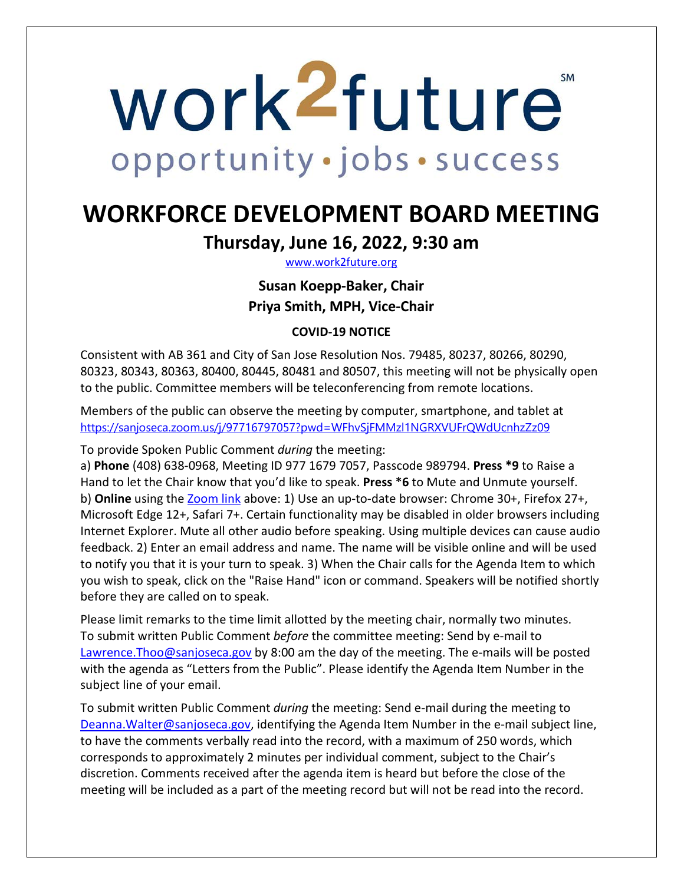# work<sup>2</sup>future **SM** opportunity · jobs · success

# **WORKFORCE DEVELOPMENT BOARD MEETING Thursday, June 16, 2022, 9:30 am**

[www.work2future.org](http://www.work2future.org/)

# **Susan Koepp-Baker, Chair Priya Smith, MPH, Vice-Chair**

# **COVID-19 NOTICE**

Consistent with AB 361 and City of San Jose Resolution Nos. 79485, 80237, 80266, 80290, 80323, 80343, 80363, 80400, 80445, 80481 and 80507, this meeting will not be physically open to the public. Committee members will be teleconferencing from remote locations.

Members of the public can observe the meeting by computer, smartphone, and tablet at <https://sanjoseca.zoom.us/j/97716797057?pwd=WFhvSjFMMzl1NGRXVUFrQWdUcnhzZz09>

To provide Spoken Public Comment *during* the meeting:

a) **Phone** (408) 638-0968, Meeting ID 977 1679 7057, Passcode 989794. **Press \*9** to Raise a Hand to let the Chair know that you'd like to speak. **Press \*6** to Mute and Unmute yourself. b) **Online** using th[e Zoom link](https://sanjoseca.zoom.us/j/97716797057?pwd=WFhvSjFMMzl1NGRXVUFrQWdUcnhzZz09) above: 1) Use an up-to-date browser: Chrome 30+, Firefox 27+, Microsoft Edge 12+, Safari 7+. Certain functionality may be disabled in older browsers including Internet Explorer. Mute all other audio before speaking. Using multiple devices can cause audio feedback. 2) Enter an email address and name. The name will be visible online and will be used to notify you that it is your turn to speak. 3) When the Chair calls for the Agenda Item to which you wish to speak, click on the "Raise Hand" icon or command. Speakers will be notified shortly before they are called on to speak.

Please limit remarks to the time limit allotted by the meeting chair, normally two minutes. To submit written Public Comment *before* the committee meeting: Send by e-mail to [Lawrence.Thoo@sanjoseca.gov](mailto:Lawrence.Thoo@sanjoseca.gov) by 8:00 am the day of the meeting. The e-mails will be posted with the agenda as "Letters from the Public". Please identify the Agenda Item Number in the subject line of your email.

To submit written Public Comment *during* the meeting: Send e-mail during the meeting to [Deanna.Walter@sanjoseca.gov,](mailto:deanna.walter@sanjoseca.gov?subject=Public%20Comment%20Agenda%20Item%20Number:) identifying the Agenda Item Number in the e-mail subject line, to have the comments verbally read into the record, with a maximum of 250 words, which corresponds to approximately 2 minutes per individual comment, subject to the Chair's discretion. Comments received after the agenda item is heard but before the close of the meeting will be included as a part of the meeting record but will not be read into the record.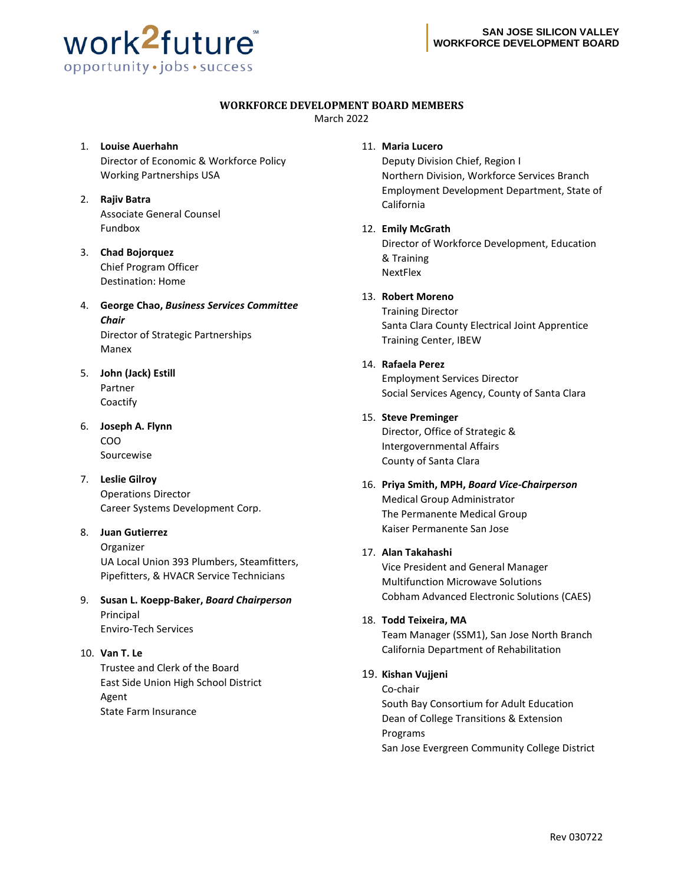

#### **WORKFORCE DEVELOPMENT BOARD MEMBERS**

March 2022

#### 1. **Louise Auerhahn** Director of Economic & Workforce Policy Working Partnerships USA

- 2. **Rajiv Batra** Associate General Counsel Fundbox
- 3. **Chad Bojorquez** Chief Program Officer Destination: Home
- 4. **George Chao,** *Business Services Committee Chair* Director of Strategic Partnerships Manex
- 5. **John (Jack) Estill** Partner Coactify
- 6. **Joseph A. Flynn** COO Sourcewise
- 7. **Leslie Gilroy** Operations Director Career Systems Development Corp.

# 8. **Juan Gutierrez** Organizer UA Local Union 393 Plumbers, Steamfitters,

9. **Susan L. Koepp-Baker,** *Board Chairperson* Principal Enviro-Tech Services

Pipefitters, & HVACR Service Technicians

#### 10. **Van T. Le**

Trustee and Clerk of the Board East Side Union High School District Agent State Farm Insurance

#### 11. **Maria Lucero**

Deputy Division Chief, Region I Northern Division, Workforce Services Branch Employment Development Department, State of California

#### 12. **Emily McGrath**

Director of Workforce Development, Education & Training NextFlex

#### 13. **Robert Moreno**

Training Director Santa Clara County Electrical Joint Apprentice Training Center, IBEW

#### 14. **Rafaela Perez**

Employment Services Director Social Services Agency, County of Santa Clara

#### 15. **Steve Preminger**

Director, Office of Strategic & Intergovernmental Affairs County of Santa Clara

16. **Priya Smith, MPH,** *Board Vice-Chairperson* Medical Group Administrator The Permanente Medical Group Kaiser Permanente San Jose

#### 17. **Alan Takahashi**

Vice President and General Manager Multifunction Microwave Solutions Cobham Advanced Electronic Solutions (CAES)

#### 18. **Todd Teixeira, MA**

Team Manager (SSM1), San Jose North Branch California Department of Rehabilitation

#### 19. **Kishan Vujjeni**

Co-chair South Bay Consortium for Adult Education Dean of College Transitions & Extension Programs San Jose Evergreen Community College District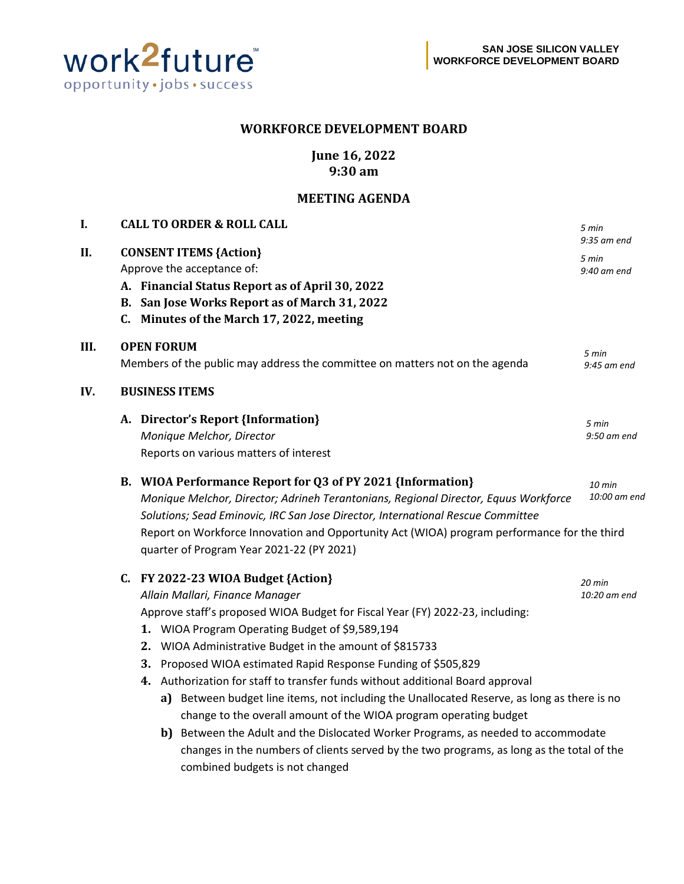

#### **WORKFORCE DEVELOPMENT BOARD**

**June 16, 2022 9:30 am**

## **MEETING AGENDA**

| I.   |    | <b>CALL TO ORDER &amp; ROLL CALL</b>                                                |                                                                                             |                      |
|------|----|-------------------------------------------------------------------------------------|---------------------------------------------------------------------------------------------|----------------------|
| II.  |    |                                                                                     | <b>CONSENT ITEMS {Action}</b>                                                               | 5 min                |
|      |    |                                                                                     | Approve the acceptance of:                                                                  | 9:40 am end          |
|      |    |                                                                                     | A. Financial Status Report as of April 30, 2022                                             |                      |
|      | В. |                                                                                     | San Jose Works Report as of March 31, 2022                                                  |                      |
|      |    |                                                                                     | C. Minutes of the March 17, 2022, meeting                                                   |                      |
| III. |    |                                                                                     | <b>OPEN FORUM</b>                                                                           |                      |
|      |    |                                                                                     | Members of the public may address the committee on matters not on the agenda                | 5 min<br>9:45 am end |
| IV.  |    |                                                                                     | <b>BUSINESS ITEMS</b>                                                                       |                      |
|      |    |                                                                                     | A. Director's Report {Information}                                                          | 5 min                |
|      |    |                                                                                     | Monique Melchor, Director                                                                   | 9:50 am end          |
|      |    |                                                                                     | Reports on various matters of interest                                                      |                      |
|      |    | B. WIOA Performance Report for Q3 of PY 2021 {Information}<br>10 min                |                                                                                             |                      |
|      |    | Monique Melchor, Director; Adrineh Terantonians, Regional Director, Equus Workforce |                                                                                             | 10:00 am end         |
|      |    |                                                                                     | Solutions; Sead Eminovic, IRC San Jose Director, International Rescue Committee             |                      |
|      |    |                                                                                     | Report on Workforce Innovation and Opportunity Act (WIOA) program performance for the third |                      |
|      |    |                                                                                     | quarter of Program Year 2021-22 (PY 2021)                                                   |                      |
|      |    |                                                                                     | C. FY 2022-23 WIOA Budget {Action}                                                          | 20 min               |
|      |    |                                                                                     | Allain Mallari, Finance Manager                                                             | 10:20 am end         |
|      |    |                                                                                     | Approve staff's proposed WIOA Budget for Fiscal Year (FY) 2022-23, including:               |                      |
|      |    |                                                                                     | 1. WIOA Program Operating Budget of \$9,589,194                                             |                      |
|      |    |                                                                                     | 2. WIOA Administrative Budget in the amount of \$815733                                     |                      |
|      |    | 3.                                                                                  | Proposed WIOA estimated Rapid Response Funding of \$505,829                                 |                      |
|      |    |                                                                                     | 4. Authorization for staff to transfer funds without additional Board approval              |                      |
|      |    |                                                                                     | a) Between budget line items, not including the Unallocated Reserve, as long as there is no |                      |
|      |    |                                                                                     | change to the overall amount of the WIOA program operating budget                           |                      |
|      |    |                                                                                     | b) Between the Adult and the Dislocated Worker Programs, as needed to accommodate           |                      |
|      |    |                                                                                     | changes in the numbers of clients served by the two programs, as long as the total of the   |                      |
|      |    |                                                                                     | combined budgets is not changed                                                             |                      |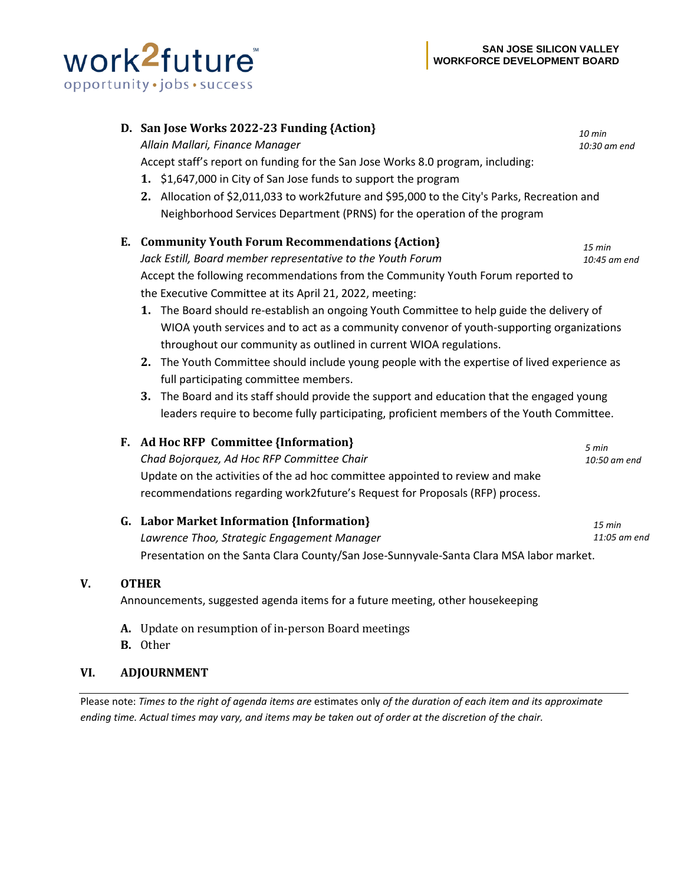

| <b>EUDOI</b> PRINCE HILOI HREFOII <b>[IIIIOI HREFOII</b> ]                              | ווווז כב       |  |  |  |
|-----------------------------------------------------------------------------------------|----------------|--|--|--|
| Lawrence Thoo, Strategic Engagement Manager                                             | $11:05$ am end |  |  |  |
| Presentation on the Santa Clara County/San Jose-Sunnyvale-Santa Clara MSA labor market. |                |  |  |  |

#### **V. OTHER**

Announcements, suggested agenda items for a future meeting, other housekeeping

- **A.** Update on resumption of in-person Board meetings
- **B.** Other

#### **VI. ADJOURNMENT**

Please note: *Times to the right of agenda items are* estimates only *of the duration of each item and its approximate ending time. Actual times may vary, and items may be taken out of order at the discretion of the chair.*

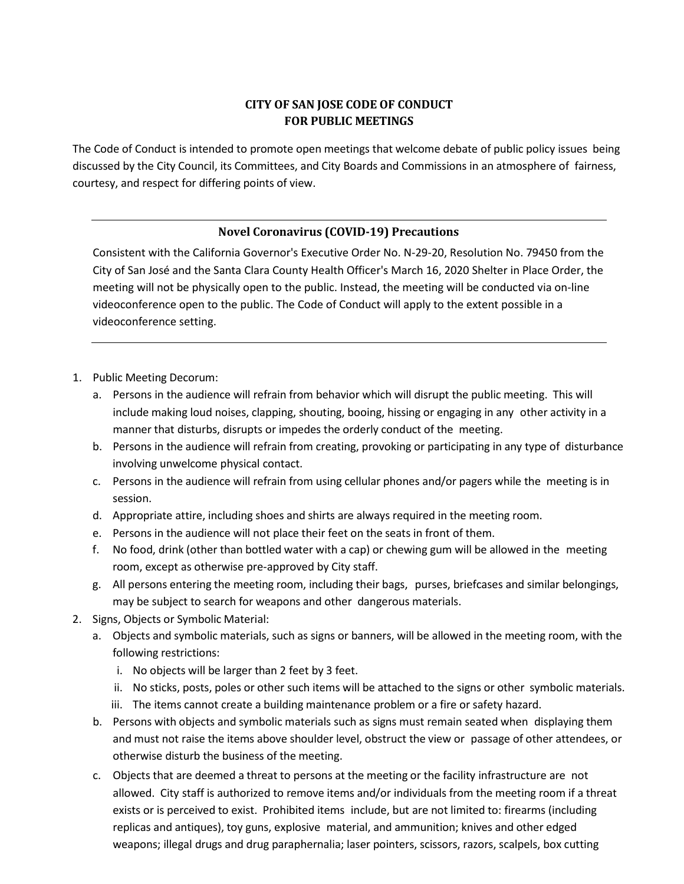## **CITY OF SAN JOSE CODE OF CONDUCT FOR PUBLIC MEETINGS**

The Code of Conduct is intended to promote open meetings that welcome debate of public policy issues being discussed by the City Council, its Committees, and City Boards and Commissions in an atmosphere of fairness, courtesy, and respect for differing points of view.

#### **Novel Coronavirus (COVID-19) Precautions**

Consistent with the California Governor's Executive Order No. N-29-20, Resolution No. 79450 from the City of San José and the Santa Clara County Health Officer's March 16, 2020 Shelter in Place Order, the meeting will not be physically open to the public. Instead, the meeting will be conducted via on-line videoconference open to the public. The Code of Conduct will apply to the extent possible in a videoconference setting.

- 1. Public Meeting Decorum:
	- a. Persons in the audience will refrain from behavior which will disrupt the public meeting. This will include making loud noises, clapping, shouting, booing, hissing or engaging in any other activity in a manner that disturbs, disrupts or impedes the orderly conduct of the meeting.
	- b. Persons in the audience will refrain from creating, provoking or participating in any type of disturbance involving unwelcome physical contact.
	- c. Persons in the audience will refrain from using cellular phones and/or pagers while the meeting is in session.
	- d. Appropriate attire, including shoes and shirts are always required in the meeting room.
	- e. Persons in the audience will not place their feet on the seats in front of them.
	- f. No food, drink (other than bottled water with a cap) or chewing gum will be allowed in the meeting room, except as otherwise pre-approved by City staff.
	- g. All persons entering the meeting room, including their bags, purses, briefcases and similar belongings, may be subject to search for weapons and other dangerous materials.
- 2. Signs, Objects or Symbolic Material:
	- a. Objects and symbolic materials, such as signs or banners, will be allowed in the meeting room, with the following restrictions:
		- i. No objects will be larger than 2 feet by 3 feet.
		- ii. No sticks, posts, poles or other such items will be attached to the signs or other symbolic materials.
		- iii. The items cannot create a building maintenance problem or a fire or safety hazard.
	- b. Persons with objects and symbolic materials such as signs must remain seated when displaying them and must not raise the items above shoulder level, obstruct the view or passage of other attendees, or otherwise disturb the business of the meeting.
	- c. Objects that are deemed a threat to persons at the meeting or the facility infrastructure are not allowed. City staff is authorized to remove items and/or individuals from the meeting room if a threat exists or is perceived to exist. Prohibited items include, but are not limited to: firearms (including replicas and antiques), toy guns, explosive material, and ammunition; knives and other edged weapons; illegal drugs and drug paraphernalia; laser pointers, scissors, razors, scalpels, box cutting